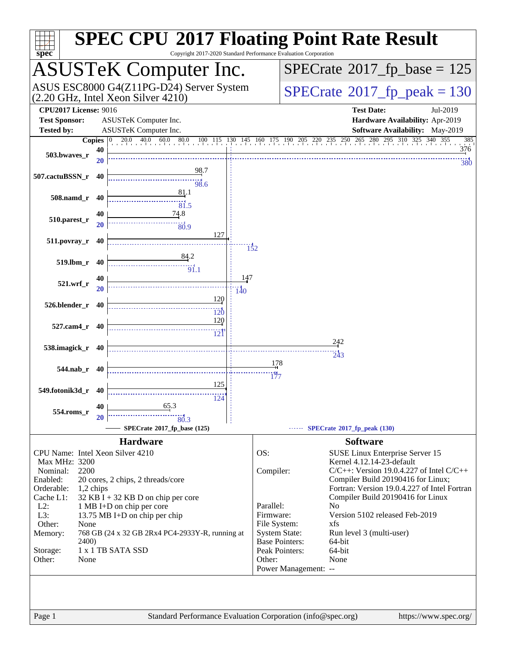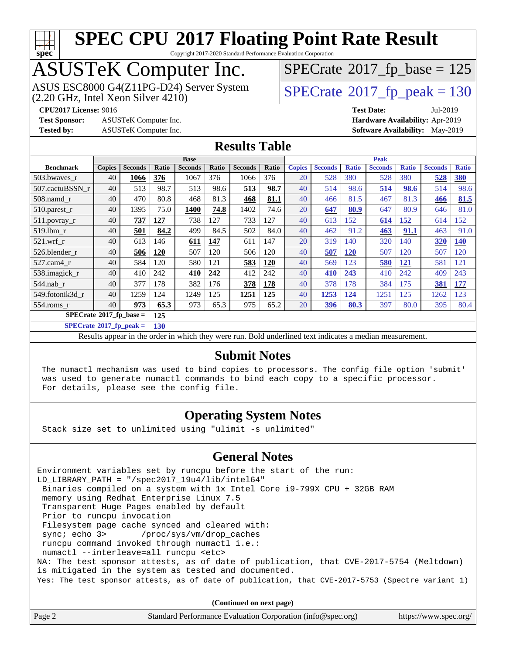

Copyright 2017-2020 Standard Performance Evaluation Corporation

# ASUSTeK Computer Inc.<br>ASUS ESC8000 G4(Z11PG-D24) Server System

(2.20 GHz, Intel Xeon Silver 4210)

 $SPECTate$ <sup>®</sup>[2017\\_fp\\_base =](http://www.spec.org/auto/cpu2017/Docs/result-fields.html#SPECrate2017fpbase) 125

 $SPECTate<sup>®</sup>2017<sub>fr</sub>peak = 130$ 

**[Test Sponsor:](http://www.spec.org/auto/cpu2017/Docs/result-fields.html#TestSponsor)** ASUSTeK Computer Inc. **[Hardware Availability:](http://www.spec.org/auto/cpu2017/Docs/result-fields.html#HardwareAvailability)** Apr-2019 **[Tested by:](http://www.spec.org/auto/cpu2017/Docs/result-fields.html#Testedby)** ASUSTeK Computer Inc. **[Software Availability:](http://www.spec.org/auto/cpu2017/Docs/result-fields.html#SoftwareAvailability)** May-2019

**[CPU2017 License:](http://www.spec.org/auto/cpu2017/Docs/result-fields.html#CPU2017License)** 9016 **[Test Date:](http://www.spec.org/auto/cpu2017/Docs/result-fields.html#TestDate)** Jul-2019

**[Results Table](http://www.spec.org/auto/cpu2017/Docs/result-fields.html#ResultsTable)**

|                                    | <b>Base</b>   |                |       |                |       |                | <b>Peak</b> |               |                |              |                |              |                |              |
|------------------------------------|---------------|----------------|-------|----------------|-------|----------------|-------------|---------------|----------------|--------------|----------------|--------------|----------------|--------------|
| <b>Benchmark</b>                   | <b>Copies</b> | <b>Seconds</b> | Ratio | <b>Seconds</b> | Ratio | <b>Seconds</b> | Ratio       | <b>Copies</b> | <b>Seconds</b> | <b>Ratio</b> | <b>Seconds</b> | <b>Ratio</b> | <b>Seconds</b> | <b>Ratio</b> |
| 503.bwaves r                       | 40            | 1066           | 376   | 1067           | 376   | 1066           | 376         | 20            | 528            | 380          | 528            | 380          | 528            | <b>380</b>   |
| 507.cactuBSSN_r                    | 40            | 513            | 98.7  | 513            | 98.6  | 513            | 98.7        | 40            | 514            | 98.6         | 514            | 98.6         | 514            | 98.6         |
| $508$ .namd $r$                    | 40            | 470            | 80.8  | 468            | 81.3  | 468            | 81.1        | 40            | 466            | 81.5         | 467            | 81.3         | 466            | 81.5         |
| $510.parest_r$                     | 40            | 1395           | 75.0  | 1400           | 74.8  | 1402           | 74.6        | 20            | 647            | 80.9         | 647            | 80.9         | 646            | 81.0         |
| 511.povray_r                       | 40            | <u>737</u>     | 127   | 738            | 127   | 733            | 127         | 40            | 613            | 152          | 614            | <b>152</b>   | 614            | 152          |
| 519.1bm r                          | 40            | 501            | 84.2  | 499            | 84.5  | 502            | 84.0        | 40            | 462            | 91.2         | 463            | 91.1         | 463            | 91.0         |
| $521$ .wrf r                       | 40            | 613            | 146   | 611            | 147   | 611            | 147         | 20            | 319            | 140          | 320            | 140          | 320            | <b>140</b>   |
| 526.blender_r                      | 40            | 506            | 120   | 507            | 120   | 506            | 120         | 40            | 507            | <b>120</b>   | 507            | 120          | 507            | 120          |
| 527.cam4 r                         | 40            | 584            | 120   | 580            | 121   | 583            | 120         | 40            | 569            | 123          | 580            | 121          | 581            | 121          |
| 538.imagick_r                      | 40            | 410            | 242   | 410            | 242   | 412            | 242         | 40            | 410            | 243          | 410            | 242          | 409            | 243          |
| 544.nab r                          | 40            | 377            | 178   | 382            | 176   | 378            | 178         | 40            | 378            | 178          | 384            | 175          | 381            | 177          |
| 549.fotonik3d r                    | 40            | 1259           | 124   | 1249           | 125   | 1251           | 125         | 40            | 1253           | 124          | 1251           | 125          | 1262           | 123          |
| 554.roms r                         | 40            | 973            | 65.3  | 973            | 65.3  | 975            | 65.2        | 20            | <u>396</u>     | 80.3         | 397            | 80.0         | 395            | 80.4         |
| $SPECrate^{\otimes}2017$ fp base = | 125           |                |       |                |       |                |             |               |                |              |                |              |                |              |

**[SPECrate](http://www.spec.org/auto/cpu2017/Docs/result-fields.html#SPECrate2017fppeak)[2017\\_fp\\_peak =](http://www.spec.org/auto/cpu2017/Docs/result-fields.html#SPECrate2017fppeak) 130**

Results appear in the [order in which they were run.](http://www.spec.org/auto/cpu2017/Docs/result-fields.html#RunOrder) Bold underlined text [indicates a median measurement.](http://www.spec.org/auto/cpu2017/Docs/result-fields.html#Median)

#### **[Submit Notes](http://www.spec.org/auto/cpu2017/Docs/result-fields.html#SubmitNotes)**

 The numactl mechanism was used to bind copies to processors. The config file option 'submit' was used to generate numactl commands to bind each copy to a specific processor. For details, please see the config file.

### **[Operating System Notes](http://www.spec.org/auto/cpu2017/Docs/result-fields.html#OperatingSystemNotes)**

Stack size set to unlimited using "ulimit -s unlimited"

#### **[General Notes](http://www.spec.org/auto/cpu2017/Docs/result-fields.html#GeneralNotes)**

Environment variables set by runcpu before the start of the run: LD\_LIBRARY\_PATH = "/spec2017\_19u4/lib/intel64" Binaries compiled on a system with 1x Intel Core i9-799X CPU + 32GB RAM memory using Redhat Enterprise Linux 7.5 Transparent Huge Pages enabled by default Prior to runcpu invocation Filesystem page cache synced and cleared with: sync; echo 3> /proc/sys/vm/drop\_caches runcpu command invoked through numactl i.e.: numactl --interleave=all runcpu <etc> NA: The test sponsor attests, as of date of publication, that CVE-2017-5754 (Meltdown) is mitigated in the system as tested and documented. Yes: The test sponsor attests, as of date of publication, that CVE-2017-5753 (Spectre variant 1)

**(Continued on next page)**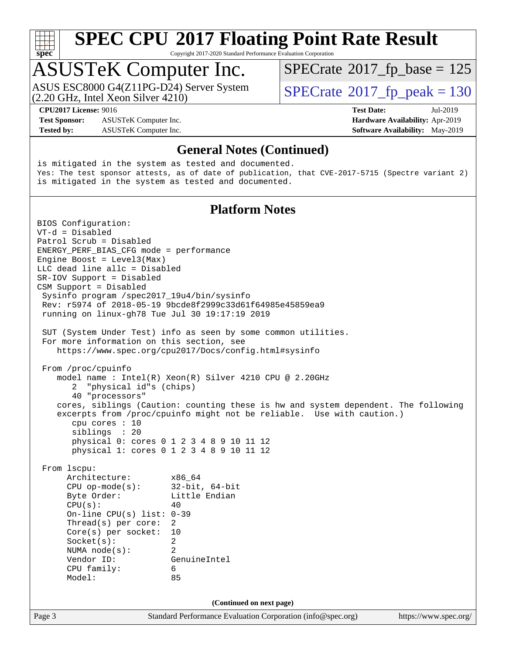

Copyright 2017-2020 Standard Performance Evaluation Corporation

### ASUSTeK Computer Inc.

(2.20 GHz, Intel Xeon Silver 4210) ASUS ESC8000 G4(Z11PG-D24) Server System  $\vert$  [SPECrate](http://www.spec.org/auto/cpu2017/Docs/result-fields.html#SPECrate2017fppeak)®[2017\\_fp\\_peak = 1](http://www.spec.org/auto/cpu2017/Docs/result-fields.html#SPECrate2017fppeak)30

 $SPECTate$ <sup>®</sup>[2017\\_fp\\_base =](http://www.spec.org/auto/cpu2017/Docs/result-fields.html#SPECrate2017fpbase) 125

**[Test Sponsor:](http://www.spec.org/auto/cpu2017/Docs/result-fields.html#TestSponsor)** ASUSTeK Computer Inc. **[Hardware Availability:](http://www.spec.org/auto/cpu2017/Docs/result-fields.html#HardwareAvailability)** Apr-2019 **[Tested by:](http://www.spec.org/auto/cpu2017/Docs/result-fields.html#Testedby)** ASUSTeK Computer Inc. **[Software Availability:](http://www.spec.org/auto/cpu2017/Docs/result-fields.html#SoftwareAvailability)** May-2019

**[CPU2017 License:](http://www.spec.org/auto/cpu2017/Docs/result-fields.html#CPU2017License)** 9016 **[Test Date:](http://www.spec.org/auto/cpu2017/Docs/result-fields.html#TestDate)** Jul-2019

Page 3 Standard Performance Evaluation Corporation [\(info@spec.org\)](mailto:info@spec.org) <https://www.spec.org/> **[General Notes \(Continued\)](http://www.spec.org/auto/cpu2017/Docs/result-fields.html#GeneralNotes)** is mitigated in the system as tested and documented. Yes: The test sponsor attests, as of date of publication, that CVE-2017-5715 (Spectre variant 2) is mitigated in the system as tested and documented. **[Platform Notes](http://www.spec.org/auto/cpu2017/Docs/result-fields.html#PlatformNotes)** BIOS Configuration: VT-d = Disabled Patrol Scrub = Disabled ENERGY\_PERF\_BIAS\_CFG mode = performance Engine Boost = Level3(Max) LLC dead line allc = Disabled SR-IOV Support = Disabled CSM Support = Disabled Sysinfo program /spec2017\_19u4/bin/sysinfo Rev: r5974 of 2018-05-19 9bcde8f2999c33d61f64985e45859ea9 running on linux-gh78 Tue Jul 30 19:17:19 2019 SUT (System Under Test) info as seen by some common utilities. For more information on this section, see <https://www.spec.org/cpu2017/Docs/config.html#sysinfo> From /proc/cpuinfo model name : Intel(R) Xeon(R) Silver 4210 CPU @ 2.20GHz 2 "physical id"s (chips) 40 "processors" cores, siblings (Caution: counting these is hw and system dependent. The following excerpts from /proc/cpuinfo might not be reliable. Use with caution.) cpu cores : 10 siblings : 20 physical 0: cores 0 1 2 3 4 8 9 10 11 12 physical 1: cores 0 1 2 3 4 8 9 10 11 12 From lscpu: Architecture: x86\_64 CPU op-mode(s): 32-bit, 64-bit Byte Order: Little Endian  $CPU(s):$  40 On-line CPU(s) list: 0-39 Thread(s) per core: 2 Core(s) per socket: 10 Socket(s): 2 NUMA node(s): 2 Vendor ID: GenuineIntel CPU family: 6 Model: 85 **(Continued on next page)**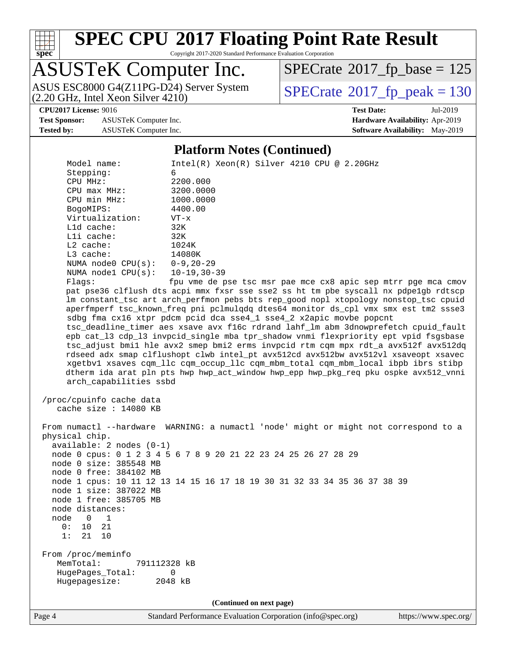

Copyright 2017-2020 Standard Performance Evaluation Corporation

## ASUSTeK Computer Inc.

(2.20 GHz, Intel Xeon Silver 4210) ASUS ESC8000 G4(Z11PG-D24) Server System  $\vert$  [SPECrate](http://www.spec.org/auto/cpu2017/Docs/result-fields.html#SPECrate2017fppeak)®[2017\\_fp\\_peak = 1](http://www.spec.org/auto/cpu2017/Docs/result-fields.html#SPECrate2017fppeak)30

 $SPECTate$ <sup>®</sup>[2017\\_fp\\_base =](http://www.spec.org/auto/cpu2017/Docs/result-fields.html#SPECrate2017fpbase) 125

**[Test Sponsor:](http://www.spec.org/auto/cpu2017/Docs/result-fields.html#TestSponsor)** ASUSTeK Computer Inc. **[Hardware Availability:](http://www.spec.org/auto/cpu2017/Docs/result-fields.html#HardwareAvailability)** Apr-2019

**[CPU2017 License:](http://www.spec.org/auto/cpu2017/Docs/result-fields.html#CPU2017License)** 9016 **[Test Date:](http://www.spec.org/auto/cpu2017/Docs/result-fields.html#TestDate)** Jul-2019 **[Tested by:](http://www.spec.org/auto/cpu2017/Docs/result-fields.html#Testedby)** ASUSTeK Computer Inc. **[Software Availability:](http://www.spec.org/auto/cpu2017/Docs/result-fields.html#SoftwareAvailability)** May-2019

#### **[Platform Notes \(Continued\)](http://www.spec.org/auto/cpu2017/Docs/result-fields.html#PlatformNotes)**

Model name: Intel(R) Xeon(R) Silver 4210 CPU @ 2.20GHz Stepping: 6 CPU MHz: 2200.000 CPU max MHz: 3200.0000 CPU min MHz: 1000.0000 BogoMIPS: 4400.00 Virtualization: VT-x L1d cache: 32K L1i cache: 32K L2 cache: 1024K L3 cache: 14080K NUMA node0 CPU(s): 0-9,20-29 NUMA node1 CPU(s): 10-19,30-39 Flags: fpu vme de pse tsc msr pae mce cx8 apic sep mtrr pge mca cmov pat pse36 clflush dts acpi mmx fxsr sse sse2 ss ht tm pbe syscall nx pdpe1gb rdtscp lm constant\_tsc art arch\_perfmon pebs bts rep\_good nopl xtopology nonstop\_tsc cpuid aperfmperf tsc\_known\_freq pni pclmulqdq dtes64 monitor ds\_cpl vmx smx est tm2 ssse3 sdbg fma cx16 xtpr pdcm pcid dca sse4\_1 sse4\_2 x2apic movbe popcnt tsc\_deadline\_timer aes xsave avx f16c rdrand lahf\_lm abm 3dnowprefetch cpuid\_fault epb cat\_l3 cdp\_l3 invpcid\_single mba tpr\_shadow vnmi flexpriority ept vpid fsgsbase tsc\_adjust bmi1 hle avx2 smep bmi2 erms invpcid rtm cqm mpx rdt\_a avx512f avx512dq rdseed adx smap clflushopt clwb intel\_pt avx512cd avx512bw avx512vl xsaveopt xsavec xgetbv1 xsaves cqm\_llc cqm\_occup\_llc cqm\_mbm\_total cqm\_mbm\_local ibpb ibrs stibp dtherm ida arat pln pts hwp hwp\_act\_window hwp\_epp hwp\_pkg\_req pku ospke avx512\_vnni arch\_capabilities ssbd /proc/cpuinfo cache data cache size : 14080 KB From numactl --hardware WARNING: a numactl 'node' might or might not correspond to a physical chip. available: 2 nodes (0-1) node 0 cpus: 0 1 2 3 4 5 6 7 8 9 20 21 22 23 24 25 26 27 28 29 node 0 size: 385548 MB node 0 free: 384102 MB node 1 cpus: 10 11 12 13 14 15 16 17 18 19 30 31 32 33 34 35 36 37 38 39 node 1 size: 387022 MB node 1 free: 385705 MB node distances: node 0 1 0: 10 21 1: 21 10 From /proc/meminfo MemTotal: 791112328 kB HugePages\_Total: 0 Hugepagesize: 2048 kB **(Continued on next page)**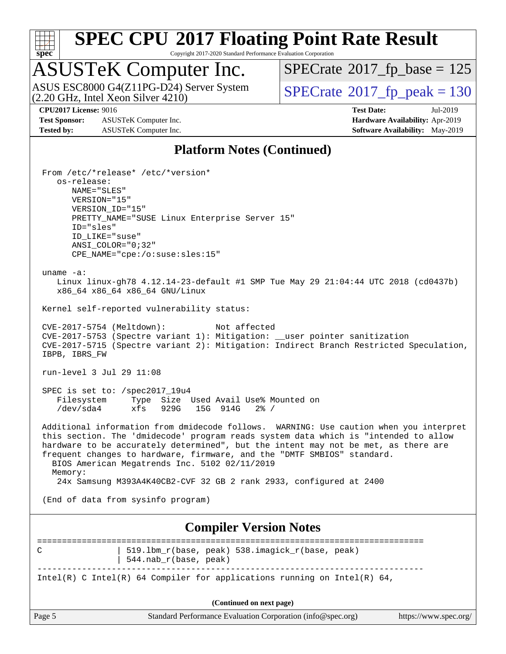

Copyright 2017-2020 Standard Performance Evaluation Corporation

### ASUSTeK Computer Inc.

ASUS ESC8000 G4(Z11PG-D24) Server System  $(2.20 \text{ GHz}, \text{ Intel Xeon Silver } 4210)$   $\big|$  [SPECrate](http://www.spec.org/auto/cpu2017/Docs/result-fields.html#SPECrate2017fppeak)®[2017\\_fp\\_peak = 1](http://www.spec.org/auto/cpu2017/Docs/result-fields.html#SPECrate2017fppeak)30

 $SPECrate$ <sup>®</sup>[2017\\_fp\\_base =](http://www.spec.org/auto/cpu2017/Docs/result-fields.html#SPECrate2017fpbase) 125

**[Test Sponsor:](http://www.spec.org/auto/cpu2017/Docs/result-fields.html#TestSponsor)** ASUSTeK Computer Inc. **[Hardware Availability:](http://www.spec.org/auto/cpu2017/Docs/result-fields.html#HardwareAvailability)** Apr-2019 **[Tested by:](http://www.spec.org/auto/cpu2017/Docs/result-fields.html#Testedby)** ASUSTeK Computer Inc. **[Software Availability:](http://www.spec.org/auto/cpu2017/Docs/result-fields.html#SoftwareAvailability)** May-2019

**[CPU2017 License:](http://www.spec.org/auto/cpu2017/Docs/result-fields.html#CPU2017License)** 9016 **[Test Date:](http://www.spec.org/auto/cpu2017/Docs/result-fields.html#TestDate)** Jul-2019

### **[Platform Notes \(Continued\)](http://www.spec.org/auto/cpu2017/Docs/result-fields.html#PlatformNotes)**

|                                | From /etc/*release* /etc/*version*                                                                                       |  |  |  |  |
|--------------------------------|--------------------------------------------------------------------------------------------------------------------------|--|--|--|--|
| os-release:<br>NAME="SLES"     |                                                                                                                          |  |  |  |  |
| VERSION="15"                   |                                                                                                                          |  |  |  |  |
| VERSION_ID="15"                |                                                                                                                          |  |  |  |  |
| ID="sles"                      | PRETTY_NAME="SUSE Linux Enterprise Server 15"                                                                            |  |  |  |  |
| ID_LIKE="suse"                 |                                                                                                                          |  |  |  |  |
| $ANSI$ _COLOR=" $0:32$ "       |                                                                                                                          |  |  |  |  |
|                                | CPE_NAME="cpe:/o:suse:sles:15"                                                                                           |  |  |  |  |
| uname $-a$ :                   |                                                                                                                          |  |  |  |  |
|                                | Linux linux-gh78 4.12.14-23-default #1 SMP Tue May 29 21:04:44 UTC 2018 (cd0437b)                                        |  |  |  |  |
|                                | x86_64 x86_64 x86_64 GNU/Linux                                                                                           |  |  |  |  |
|                                | Kernel self-reported vulnerability status:                                                                               |  |  |  |  |
| CVE-2017-5754 (Meltdown):      | Not affected                                                                                                             |  |  |  |  |
|                                | CVE-2017-5753 (Spectre variant 1): Mitigation: __user pointer sanitization                                               |  |  |  |  |
| IBPB, IBRS_FW                  | CVE-2017-5715 (Spectre variant 2): Mitigation: Indirect Branch Restricted Speculation,                                   |  |  |  |  |
|                                |                                                                                                                          |  |  |  |  |
| run-level 3 Jul 29 11:08       |                                                                                                                          |  |  |  |  |
| SPEC is set to: /spec2017_19u4 |                                                                                                                          |  |  |  |  |
|                                | Filesystem Type Size Used Avail Use% Mounted on                                                                          |  |  |  |  |
| /dev/sda4                      | xfs 929G 15G 914G<br>$2\frac{3}{2}$ /                                                                                    |  |  |  |  |
|                                | Additional information from dmidecode follows. WARNING: Use caution when you interpret                                   |  |  |  |  |
|                                | this section. The 'dmidecode' program reads system data which is "intended to allow                                      |  |  |  |  |
|                                | hardware to be accurately determined", but the intent may not be met, as there are                                       |  |  |  |  |
|                                | frequent changes to hardware, firmware, and the "DMTF SMBIOS" standard.<br>BIOS American Megatrends Inc. 5102 02/11/2019 |  |  |  |  |
| Memory:                        |                                                                                                                          |  |  |  |  |
|                                | 24x Samsung M393A4K40CB2-CVF 32 GB 2 rank 2933, configured at 2400                                                       |  |  |  |  |
|                                | (End of data from sysinfo program)                                                                                       |  |  |  |  |
|                                |                                                                                                                          |  |  |  |  |
|                                | <b>Compiler Version Notes</b>                                                                                            |  |  |  |  |
|                                |                                                                                                                          |  |  |  |  |
| C                              | 519.1bm_r(base, peak) 538.imagick_r(base, peak)                                                                          |  |  |  |  |
|                                | 544.nab_r(base, peak)                                                                                                    |  |  |  |  |
|                                | Intel(R) C Intel(R) 64 Compiler for applications running on Intel(R) 64,                                                 |  |  |  |  |
|                                |                                                                                                                          |  |  |  |  |
| (Continued on next page)       |                                                                                                                          |  |  |  |  |
| Page 5                         | Standard Performance Evaluation Corporation (info@spec.org)<br>https://www.spec.org/                                     |  |  |  |  |
|                                |                                                                                                                          |  |  |  |  |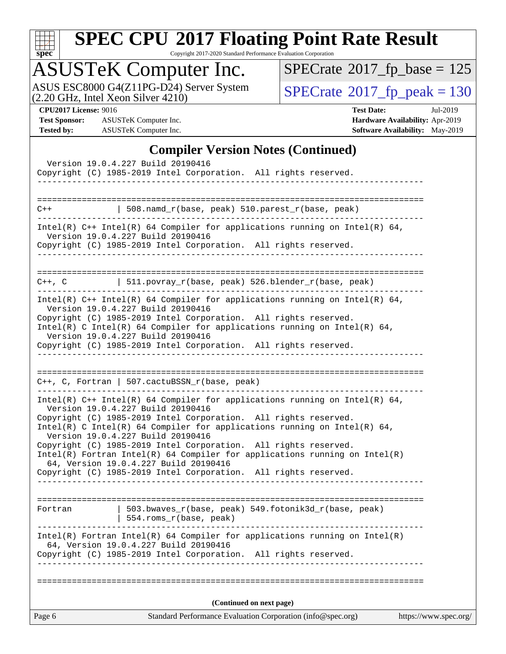

Copyright 2017-2020 Standard Performance Evaluation Corporation

### ASUSTeK Computer Inc.

ASUS ESC8000 G4(Z11PG-D24) Server System  $(2.20 \text{ GHz}, \text{ Intel Xeon Silver } 4210)$   $\big|$  [SPECrate](http://www.spec.org/auto/cpu2017/Docs/result-fields.html#SPECrate2017fppeak)®[2017\\_fp\\_peak = 1](http://www.spec.org/auto/cpu2017/Docs/result-fields.html#SPECrate2017fppeak)30

 $SPECrate$ <sup>®</sup>[2017\\_fp\\_base =](http://www.spec.org/auto/cpu2017/Docs/result-fields.html#SPECrate2017fpbase) 125

**[Test Sponsor:](http://www.spec.org/auto/cpu2017/Docs/result-fields.html#TestSponsor)** ASUSTeK Computer Inc. **[Hardware Availability:](http://www.spec.org/auto/cpu2017/Docs/result-fields.html#HardwareAvailability)** Apr-2019 **[Tested by:](http://www.spec.org/auto/cpu2017/Docs/result-fields.html#Testedby)** ASUSTeK Computer Inc. **[Software Availability:](http://www.spec.org/auto/cpu2017/Docs/result-fields.html#SoftwareAvailability)** May-2019

**[CPU2017 License:](http://www.spec.org/auto/cpu2017/Docs/result-fields.html#CPU2017License)** 9016 **[Test Date:](http://www.spec.org/auto/cpu2017/Docs/result-fields.html#TestDate)** Jul-2019

#### **[Compiler Version Notes \(Continued\)](http://www.spec.org/auto/cpu2017/Docs/result-fields.html#CompilerVersionNotes)**

| Version 19.0.4.227 Build 20190416<br>Copyright (C) 1985-2019 Intel Corporation. All rights reserved.                                                                                                                                                                                                                                                                                                                                                                                                                                                                                        |                       |
|---------------------------------------------------------------------------------------------------------------------------------------------------------------------------------------------------------------------------------------------------------------------------------------------------------------------------------------------------------------------------------------------------------------------------------------------------------------------------------------------------------------------------------------------------------------------------------------------|-----------------------|
|                                                                                                                                                                                                                                                                                                                                                                                                                                                                                                                                                                                             |                       |
| 508.namd_r(base, peak) 510.parest_r(base, peak)<br>$C++$                                                                                                                                                                                                                                                                                                                                                                                                                                                                                                                                    |                       |
| Intel(R) $C++$ Intel(R) 64 Compiler for applications running on Intel(R) 64,<br>Version 19.0.4.227 Build 20190416<br>Copyright (C) 1985-2019 Intel Corporation. All rights reserved.                                                                                                                                                                                                                                                                                                                                                                                                        |                       |
| C++, C $ $ 511.povray_r(base, peak) 526.blender_r(base, peak)                                                                                                                                                                                                                                                                                                                                                                                                                                                                                                                               |                       |
| Intel(R) $C++$ Intel(R) 64 Compiler for applications running on Intel(R) 64,<br>Version 19.0.4.227 Build 20190416<br>Copyright (C) 1985-2019 Intel Corporation. All rights reserved.<br>Intel(R) C Intel(R) 64 Compiler for applications running on Intel(R) 64,<br>Version 19.0.4.227 Build 20190416<br>Copyright (C) 1985-2019 Intel Corporation. All rights reserved.                                                                                                                                                                                                                    |                       |
| $C++$ , C, Fortran   507.cactuBSSN_r(base, peak)<br>_____________________________                                                                                                                                                                                                                                                                                                                                                                                                                                                                                                           |                       |
| Intel(R) C++ Intel(R) 64 Compiler for applications running on Intel(R) 64,<br>Version 19.0.4.227 Build 20190416<br>Copyright (C) 1985-2019 Intel Corporation. All rights reserved.<br>Intel(R) C Intel(R) 64 Compiler for applications running on Intel(R) 64,<br>Version 19.0.4.227 Build 20190416<br>Copyright (C) 1985-2019 Intel Corporation. All rights reserved.<br>$Intel(R)$ Fortran Intel(R) 64 Compiler for applications running on Intel(R)<br>64, Version 19.0.4.227 Build 20190416<br>Copyright (C) 1985-2019 Intel Corporation. All rights reserved.<br>--------------------- |                       |
| $503.bwaves_r(base, peak)$ 549.fotonik3d_r(base, peak)<br>Fortran<br>554.roms_r(base, peak)                                                                                                                                                                                                                                                                                                                                                                                                                                                                                                 |                       |
| $Intel(R)$ Fortran Intel(R) 64 Compiler for applications running on Intel(R)<br>64, Version 19.0.4.227 Build 20190416<br>Copyright (C) 1985-2019 Intel Corporation. All rights reserved.<br>-------------------                                                                                                                                                                                                                                                                                                                                                                             |                       |
| (Continued on next page)                                                                                                                                                                                                                                                                                                                                                                                                                                                                                                                                                                    |                       |
| Standard Performance Evaluation Corporation (info@spec.org)<br>Page 6                                                                                                                                                                                                                                                                                                                                                                                                                                                                                                                       | https://www.spec.org/ |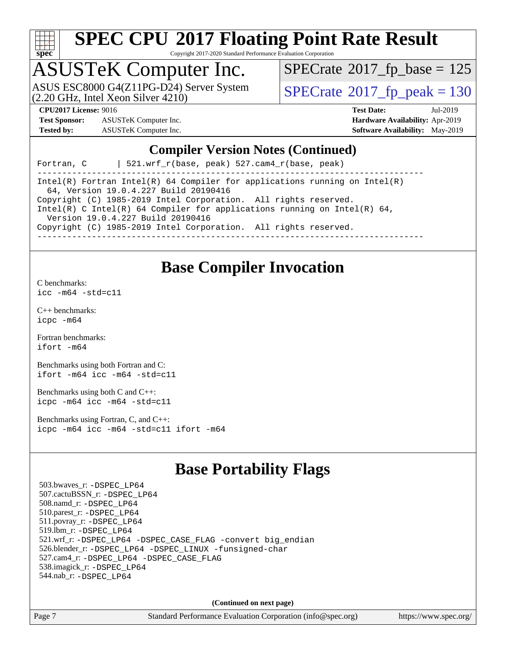

Copyright 2017-2020 Standard Performance Evaluation Corporation

# ASUSTeK Computer Inc.<br>ASUS ESC8000 G4(Z11PG-D24) Server System

(2.20 GHz, Intel Xeon Silver 4210)

 $SPECTate$ <sup>®</sup>[2017\\_fp\\_base =](http://www.spec.org/auto/cpu2017/Docs/result-fields.html#SPECrate2017fpbase) 125

 $SPECTate<sup>®</sup>2017<sub>fr</sub>peak = 130$ 

**[Test Sponsor:](http://www.spec.org/auto/cpu2017/Docs/result-fields.html#TestSponsor)** ASUSTeK Computer Inc. **[Hardware Availability:](http://www.spec.org/auto/cpu2017/Docs/result-fields.html#HardwareAvailability)** Apr-2019 **[Tested by:](http://www.spec.org/auto/cpu2017/Docs/result-fields.html#Testedby)** ASUSTeK Computer Inc. **[Software Availability:](http://www.spec.org/auto/cpu2017/Docs/result-fields.html#SoftwareAvailability)** May-2019

**[CPU2017 License:](http://www.spec.org/auto/cpu2017/Docs/result-fields.html#CPU2017License)** 9016 **[Test Date:](http://www.spec.org/auto/cpu2017/Docs/result-fields.html#TestDate)** Jul-2019

#### **[Compiler Version Notes \(Continued\)](http://www.spec.org/auto/cpu2017/Docs/result-fields.html#CompilerVersionNotes)**

Fortran, C | 521.wrf\_r(base, peak) 527.cam4\_r(base, peak)

------------------------------------------------------------------------------ Intel(R) Fortran Intel(R) 64 Compiler for applications running on Intel(R) 64, Version 19.0.4.227 Build 20190416 Copyright (C) 1985-2019 Intel Corporation. All rights reserved. Intel(R) C Intel(R) 64 Compiler for applications running on Intel(R) 64, Version 19.0.4.227 Build 20190416 Copyright (C) 1985-2019 Intel Corporation. All rights reserved. ------------------------------------------------------------------------------

### **[Base Compiler Invocation](http://www.spec.org/auto/cpu2017/Docs/result-fields.html#BaseCompilerInvocation)**

[C benchmarks](http://www.spec.org/auto/cpu2017/Docs/result-fields.html#Cbenchmarks):

[icc -m64 -std=c11](http://www.spec.org/cpu2017/results/res2019q3/cpu2017-20190805-16612.flags.html#user_CCbase_intel_icc_64bit_c11_33ee0cdaae7deeeab2a9725423ba97205ce30f63b9926c2519791662299b76a0318f32ddfffdc46587804de3178b4f9328c46fa7c2b0cd779d7a61945c91cd35)

[C++ benchmarks:](http://www.spec.org/auto/cpu2017/Docs/result-fields.html#CXXbenchmarks) [icpc -m64](http://www.spec.org/cpu2017/results/res2019q3/cpu2017-20190805-16612.flags.html#user_CXXbase_intel_icpc_64bit_4ecb2543ae3f1412ef961e0650ca070fec7b7afdcd6ed48761b84423119d1bf6bdf5cad15b44d48e7256388bc77273b966e5eb805aefd121eb22e9299b2ec9d9)

[Fortran benchmarks](http://www.spec.org/auto/cpu2017/Docs/result-fields.html#Fortranbenchmarks): [ifort -m64](http://www.spec.org/cpu2017/results/res2019q3/cpu2017-20190805-16612.flags.html#user_FCbase_intel_ifort_64bit_24f2bb282fbaeffd6157abe4f878425411749daecae9a33200eee2bee2fe76f3b89351d69a8130dd5949958ce389cf37ff59a95e7a40d588e8d3a57e0c3fd751)

[Benchmarks using both Fortran and C](http://www.spec.org/auto/cpu2017/Docs/result-fields.html#BenchmarksusingbothFortranandC): [ifort -m64](http://www.spec.org/cpu2017/results/res2019q3/cpu2017-20190805-16612.flags.html#user_CC_FCbase_intel_ifort_64bit_24f2bb282fbaeffd6157abe4f878425411749daecae9a33200eee2bee2fe76f3b89351d69a8130dd5949958ce389cf37ff59a95e7a40d588e8d3a57e0c3fd751) [icc -m64 -std=c11](http://www.spec.org/cpu2017/results/res2019q3/cpu2017-20190805-16612.flags.html#user_CC_FCbase_intel_icc_64bit_c11_33ee0cdaae7deeeab2a9725423ba97205ce30f63b9926c2519791662299b76a0318f32ddfffdc46587804de3178b4f9328c46fa7c2b0cd779d7a61945c91cd35)

[Benchmarks using both C and C++](http://www.spec.org/auto/cpu2017/Docs/result-fields.html#BenchmarksusingbothCandCXX): [icpc -m64](http://www.spec.org/cpu2017/results/res2019q3/cpu2017-20190805-16612.flags.html#user_CC_CXXbase_intel_icpc_64bit_4ecb2543ae3f1412ef961e0650ca070fec7b7afdcd6ed48761b84423119d1bf6bdf5cad15b44d48e7256388bc77273b966e5eb805aefd121eb22e9299b2ec9d9) [icc -m64 -std=c11](http://www.spec.org/cpu2017/results/res2019q3/cpu2017-20190805-16612.flags.html#user_CC_CXXbase_intel_icc_64bit_c11_33ee0cdaae7deeeab2a9725423ba97205ce30f63b9926c2519791662299b76a0318f32ddfffdc46587804de3178b4f9328c46fa7c2b0cd779d7a61945c91cd35)

[Benchmarks using Fortran, C, and C++:](http://www.spec.org/auto/cpu2017/Docs/result-fields.html#BenchmarksusingFortranCandCXX) [icpc -m64](http://www.spec.org/cpu2017/results/res2019q3/cpu2017-20190805-16612.flags.html#user_CC_CXX_FCbase_intel_icpc_64bit_4ecb2543ae3f1412ef961e0650ca070fec7b7afdcd6ed48761b84423119d1bf6bdf5cad15b44d48e7256388bc77273b966e5eb805aefd121eb22e9299b2ec9d9) [icc -m64 -std=c11](http://www.spec.org/cpu2017/results/res2019q3/cpu2017-20190805-16612.flags.html#user_CC_CXX_FCbase_intel_icc_64bit_c11_33ee0cdaae7deeeab2a9725423ba97205ce30f63b9926c2519791662299b76a0318f32ddfffdc46587804de3178b4f9328c46fa7c2b0cd779d7a61945c91cd35) [ifort -m64](http://www.spec.org/cpu2017/results/res2019q3/cpu2017-20190805-16612.flags.html#user_CC_CXX_FCbase_intel_ifort_64bit_24f2bb282fbaeffd6157abe4f878425411749daecae9a33200eee2bee2fe76f3b89351d69a8130dd5949958ce389cf37ff59a95e7a40d588e8d3a57e0c3fd751)

### **[Base Portability Flags](http://www.spec.org/auto/cpu2017/Docs/result-fields.html#BasePortabilityFlags)**

 503.bwaves\_r: [-DSPEC\\_LP64](http://www.spec.org/cpu2017/results/res2019q3/cpu2017-20190805-16612.flags.html#suite_basePORTABILITY503_bwaves_r_DSPEC_LP64) 507.cactuBSSN\_r: [-DSPEC\\_LP64](http://www.spec.org/cpu2017/results/res2019q3/cpu2017-20190805-16612.flags.html#suite_basePORTABILITY507_cactuBSSN_r_DSPEC_LP64) 508.namd\_r: [-DSPEC\\_LP64](http://www.spec.org/cpu2017/results/res2019q3/cpu2017-20190805-16612.flags.html#suite_basePORTABILITY508_namd_r_DSPEC_LP64) 510.parest\_r: [-DSPEC\\_LP64](http://www.spec.org/cpu2017/results/res2019q3/cpu2017-20190805-16612.flags.html#suite_basePORTABILITY510_parest_r_DSPEC_LP64) 511.povray\_r: [-DSPEC\\_LP64](http://www.spec.org/cpu2017/results/res2019q3/cpu2017-20190805-16612.flags.html#suite_basePORTABILITY511_povray_r_DSPEC_LP64) 519.lbm\_r: [-DSPEC\\_LP64](http://www.spec.org/cpu2017/results/res2019q3/cpu2017-20190805-16612.flags.html#suite_basePORTABILITY519_lbm_r_DSPEC_LP64) 521.wrf\_r: [-DSPEC\\_LP64](http://www.spec.org/cpu2017/results/res2019q3/cpu2017-20190805-16612.flags.html#suite_basePORTABILITY521_wrf_r_DSPEC_LP64) [-DSPEC\\_CASE\\_FLAG](http://www.spec.org/cpu2017/results/res2019q3/cpu2017-20190805-16612.flags.html#b521.wrf_r_baseCPORTABILITY_DSPEC_CASE_FLAG) [-convert big\\_endian](http://www.spec.org/cpu2017/results/res2019q3/cpu2017-20190805-16612.flags.html#user_baseFPORTABILITY521_wrf_r_convert_big_endian_c3194028bc08c63ac5d04de18c48ce6d347e4e562e8892b8bdbdc0214820426deb8554edfa529a3fb25a586e65a3d812c835984020483e7e73212c4d31a38223) 526.blender\_r: [-DSPEC\\_LP64](http://www.spec.org/cpu2017/results/res2019q3/cpu2017-20190805-16612.flags.html#suite_basePORTABILITY526_blender_r_DSPEC_LP64) [-DSPEC\\_LINUX](http://www.spec.org/cpu2017/results/res2019q3/cpu2017-20190805-16612.flags.html#b526.blender_r_baseCPORTABILITY_DSPEC_LINUX) [-funsigned-char](http://www.spec.org/cpu2017/results/res2019q3/cpu2017-20190805-16612.flags.html#user_baseCPORTABILITY526_blender_r_force_uchar_40c60f00ab013830e2dd6774aeded3ff59883ba5a1fc5fc14077f794d777847726e2a5858cbc7672e36e1b067e7e5c1d9a74f7176df07886a243d7cc18edfe67) 527.cam4\_r: [-DSPEC\\_LP64](http://www.spec.org/cpu2017/results/res2019q3/cpu2017-20190805-16612.flags.html#suite_basePORTABILITY527_cam4_r_DSPEC_LP64) [-DSPEC\\_CASE\\_FLAG](http://www.spec.org/cpu2017/results/res2019q3/cpu2017-20190805-16612.flags.html#b527.cam4_r_baseCPORTABILITY_DSPEC_CASE_FLAG) 538.imagick\_r: [-DSPEC\\_LP64](http://www.spec.org/cpu2017/results/res2019q3/cpu2017-20190805-16612.flags.html#suite_basePORTABILITY538_imagick_r_DSPEC_LP64) 544.nab\_r: [-DSPEC\\_LP64](http://www.spec.org/cpu2017/results/res2019q3/cpu2017-20190805-16612.flags.html#suite_basePORTABILITY544_nab_r_DSPEC_LP64)

**(Continued on next page)**

Page 7 Standard Performance Evaluation Corporation [\(info@spec.org\)](mailto:info@spec.org) <https://www.spec.org/>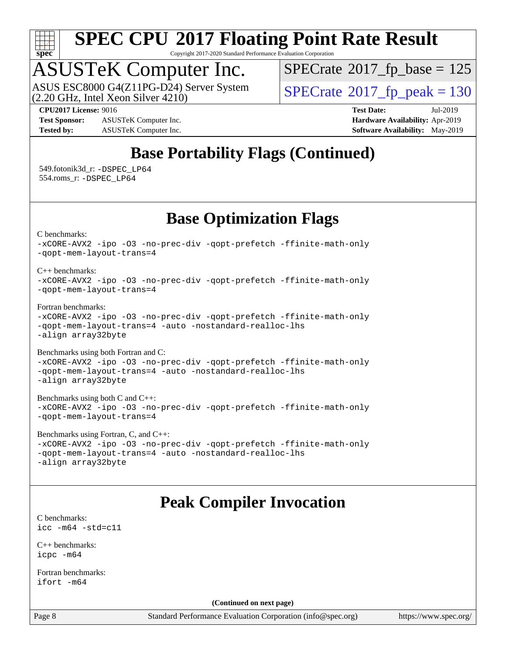

Copyright 2017-2020 Standard Performance Evaluation Corporation

# ASUSTeK Computer Inc.<br>ASUS ESC8000 G4(Z11PG-D24) Server System

(2.20 GHz, Intel Xeon Silver 4210)

 $SPECTate$ <sup>®</sup>[2017\\_fp\\_base =](http://www.spec.org/auto/cpu2017/Docs/result-fields.html#SPECrate2017fpbase) 125

**[Test Sponsor:](http://www.spec.org/auto/cpu2017/Docs/result-fields.html#TestSponsor)** ASUSTeK Computer Inc. **[Hardware Availability:](http://www.spec.org/auto/cpu2017/Docs/result-fields.html#HardwareAvailability)** Apr-2019 **[Tested by:](http://www.spec.org/auto/cpu2017/Docs/result-fields.html#Testedby)** ASUSTeK Computer Inc. **[Software Availability:](http://www.spec.org/auto/cpu2017/Docs/result-fields.html#SoftwareAvailability)** May-2019

 $SPECTate<sup>®</sup>2017<sub>fr</sub>peak = 130$ 

**[CPU2017 License:](http://www.spec.org/auto/cpu2017/Docs/result-fields.html#CPU2017License)** 9016 **[Test Date:](http://www.spec.org/auto/cpu2017/Docs/result-fields.html#TestDate)** Jul-2019

### **[Base Portability Flags \(Continued\)](http://www.spec.org/auto/cpu2017/Docs/result-fields.html#BasePortabilityFlags)**

 549.fotonik3d\_r: [-DSPEC\\_LP64](http://www.spec.org/cpu2017/results/res2019q3/cpu2017-20190805-16612.flags.html#suite_basePORTABILITY549_fotonik3d_r_DSPEC_LP64) 554.roms\_r: [-DSPEC\\_LP64](http://www.spec.org/cpu2017/results/res2019q3/cpu2017-20190805-16612.flags.html#suite_basePORTABILITY554_roms_r_DSPEC_LP64)

### **[Base Optimization Flags](http://www.spec.org/auto/cpu2017/Docs/result-fields.html#BaseOptimizationFlags)**

[C benchmarks](http://www.spec.org/auto/cpu2017/Docs/result-fields.html#Cbenchmarks):

```
-xCORE-AVX2 -ipo -O3 -no-prec-div -qopt-prefetch -ffinite-math-only
-qopt-mem-layout-trans=4
C++ benchmarks: 
-xCORE-AVX2 -ipo -O3 -no-prec-div -qopt-prefetch -ffinite-math-only
-qopt-mem-layout-trans=4
Fortran benchmarks: 
-xCORE-AVX2 -ipo -O3 -no-prec-div -qopt-prefetch -ffinite-math-only
-qopt-mem-layout-trans=4 -auto -nostandard-realloc-lhs
-align array32byte
Benchmarks using both Fortran and C: 
-xCORE-AVX2 -ipo -O3 -no-prec-div -qopt-prefetch -ffinite-math-only
-qopt-mem-layout-trans=4 -auto -nostandard-realloc-lhs
-align array32byte
Benchmarks using both C and C++: 
-xCORE-AVX2 -ipo -O3 -no-prec-div -qopt-prefetch -ffinite-math-only
-qopt-mem-layout-trans=4
Benchmarks using Fortran, C, and C++: 
-xCORE-AVX2 -ipo -O3 -no-prec-div -qopt-prefetch -ffinite-math-only
-qopt-mem-layout-trans=4 -auto -nostandard-realloc-lhs
-align array32byte
```
### **[Peak Compiler Invocation](http://www.spec.org/auto/cpu2017/Docs/result-fields.html#PeakCompilerInvocation)**

[C benchmarks](http://www.spec.org/auto/cpu2017/Docs/result-fields.html#Cbenchmarks): [icc -m64 -std=c11](http://www.spec.org/cpu2017/results/res2019q3/cpu2017-20190805-16612.flags.html#user_CCpeak_intel_icc_64bit_c11_33ee0cdaae7deeeab2a9725423ba97205ce30f63b9926c2519791662299b76a0318f32ddfffdc46587804de3178b4f9328c46fa7c2b0cd779d7a61945c91cd35)

[C++ benchmarks:](http://www.spec.org/auto/cpu2017/Docs/result-fields.html#CXXbenchmarks) [icpc -m64](http://www.spec.org/cpu2017/results/res2019q3/cpu2017-20190805-16612.flags.html#user_CXXpeak_intel_icpc_64bit_4ecb2543ae3f1412ef961e0650ca070fec7b7afdcd6ed48761b84423119d1bf6bdf5cad15b44d48e7256388bc77273b966e5eb805aefd121eb22e9299b2ec9d9)

[Fortran benchmarks](http://www.spec.org/auto/cpu2017/Docs/result-fields.html#Fortranbenchmarks): [ifort -m64](http://www.spec.org/cpu2017/results/res2019q3/cpu2017-20190805-16612.flags.html#user_FCpeak_intel_ifort_64bit_24f2bb282fbaeffd6157abe4f878425411749daecae9a33200eee2bee2fe76f3b89351d69a8130dd5949958ce389cf37ff59a95e7a40d588e8d3a57e0c3fd751)

**(Continued on next page)**

Page 8 Standard Performance Evaluation Corporation [\(info@spec.org\)](mailto:info@spec.org) <https://www.spec.org/>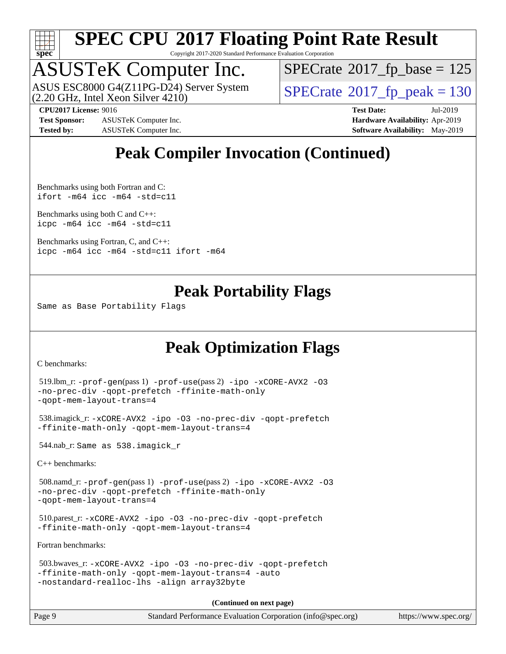

Copyright 2017-2020 Standard Performance Evaluation Corporation

### ASUSTeK Computer Inc.

(2.20 GHz, Intel Xeon Silver 4210) ASUS ESC8000 G4(Z11PG-D24) Server System  $\sqrt{SPECrate^{\circ}2017\_fp\_peak} = 130$  $\sqrt{SPECrate^{\circ}2017\_fp\_peak} = 130$  $\sqrt{SPECrate^{\circ}2017\_fp\_peak} = 130$ 

 $SPECTate$ <sup>®</sup>[2017\\_fp\\_base =](http://www.spec.org/auto/cpu2017/Docs/result-fields.html#SPECrate2017fpbase) 125

**[CPU2017 License:](http://www.spec.org/auto/cpu2017/Docs/result-fields.html#CPU2017License)** 9016 **[Test Date:](http://www.spec.org/auto/cpu2017/Docs/result-fields.html#TestDate)** Jul-2019

**[Test Sponsor:](http://www.spec.org/auto/cpu2017/Docs/result-fields.html#TestSponsor)** ASUSTeK Computer Inc. **[Hardware Availability:](http://www.spec.org/auto/cpu2017/Docs/result-fields.html#HardwareAvailability)** Apr-2019 **[Tested by:](http://www.spec.org/auto/cpu2017/Docs/result-fields.html#Testedby)** ASUSTeK Computer Inc. **[Software Availability:](http://www.spec.org/auto/cpu2017/Docs/result-fields.html#SoftwareAvailability)** May-2019

### **[Peak Compiler Invocation \(Continued\)](http://www.spec.org/auto/cpu2017/Docs/result-fields.html#PeakCompilerInvocation)**

[Benchmarks using both Fortran and C](http://www.spec.org/auto/cpu2017/Docs/result-fields.html#BenchmarksusingbothFortranandC): [ifort -m64](http://www.spec.org/cpu2017/results/res2019q3/cpu2017-20190805-16612.flags.html#user_CC_FCpeak_intel_ifort_64bit_24f2bb282fbaeffd6157abe4f878425411749daecae9a33200eee2bee2fe76f3b89351d69a8130dd5949958ce389cf37ff59a95e7a40d588e8d3a57e0c3fd751) [icc -m64 -std=c11](http://www.spec.org/cpu2017/results/res2019q3/cpu2017-20190805-16612.flags.html#user_CC_FCpeak_intel_icc_64bit_c11_33ee0cdaae7deeeab2a9725423ba97205ce30f63b9926c2519791662299b76a0318f32ddfffdc46587804de3178b4f9328c46fa7c2b0cd779d7a61945c91cd35)

[Benchmarks using both C and C++](http://www.spec.org/auto/cpu2017/Docs/result-fields.html#BenchmarksusingbothCandCXX): [icpc -m64](http://www.spec.org/cpu2017/results/res2019q3/cpu2017-20190805-16612.flags.html#user_CC_CXXpeak_intel_icpc_64bit_4ecb2543ae3f1412ef961e0650ca070fec7b7afdcd6ed48761b84423119d1bf6bdf5cad15b44d48e7256388bc77273b966e5eb805aefd121eb22e9299b2ec9d9) [icc -m64 -std=c11](http://www.spec.org/cpu2017/results/res2019q3/cpu2017-20190805-16612.flags.html#user_CC_CXXpeak_intel_icc_64bit_c11_33ee0cdaae7deeeab2a9725423ba97205ce30f63b9926c2519791662299b76a0318f32ddfffdc46587804de3178b4f9328c46fa7c2b0cd779d7a61945c91cd35)

[Benchmarks using Fortran, C, and C++:](http://www.spec.org/auto/cpu2017/Docs/result-fields.html#BenchmarksusingFortranCandCXX) [icpc -m64](http://www.spec.org/cpu2017/results/res2019q3/cpu2017-20190805-16612.flags.html#user_CC_CXX_FCpeak_intel_icpc_64bit_4ecb2543ae3f1412ef961e0650ca070fec7b7afdcd6ed48761b84423119d1bf6bdf5cad15b44d48e7256388bc77273b966e5eb805aefd121eb22e9299b2ec9d9) [icc -m64 -std=c11](http://www.spec.org/cpu2017/results/res2019q3/cpu2017-20190805-16612.flags.html#user_CC_CXX_FCpeak_intel_icc_64bit_c11_33ee0cdaae7deeeab2a9725423ba97205ce30f63b9926c2519791662299b76a0318f32ddfffdc46587804de3178b4f9328c46fa7c2b0cd779d7a61945c91cd35) [ifort -m64](http://www.spec.org/cpu2017/results/res2019q3/cpu2017-20190805-16612.flags.html#user_CC_CXX_FCpeak_intel_ifort_64bit_24f2bb282fbaeffd6157abe4f878425411749daecae9a33200eee2bee2fe76f3b89351d69a8130dd5949958ce389cf37ff59a95e7a40d588e8d3a57e0c3fd751)

### **[Peak Portability Flags](http://www.spec.org/auto/cpu2017/Docs/result-fields.html#PeakPortabilityFlags)**

Same as Base Portability Flags

### **[Peak Optimization Flags](http://www.spec.org/auto/cpu2017/Docs/result-fields.html#PeakOptimizationFlags)**

[C benchmarks](http://www.spec.org/auto/cpu2017/Docs/result-fields.html#Cbenchmarks):

```
 519.lbm_r: -prof-gen(pass 1) -prof-use(pass 2) -ipo -xCORE-AVX2 -O3
-no-prec-div -qopt-prefetch -ffinite-math-only
-qopt-mem-layout-trans=4
```

```
 538.imagick_r: -xCORE-AVX2 -ipo -O3 -no-prec-div -qopt-prefetch
-ffinite-math-only -qopt-mem-layout-trans=4
```
544.nab\_r: Same as 538.imagick\_r

[C++ benchmarks:](http://www.spec.org/auto/cpu2017/Docs/result-fields.html#CXXbenchmarks)

```
 508.namd_r: -prof-gen(pass 1) -prof-use(pass 2) -ipo -xCORE-AVX2 -O3
-no-prec-div -qopt-prefetch -ffinite-math-only
-qopt-mem-layout-trans=4
```

```
 510.parest_r: -xCORE-AVX2 -ipo -O3 -no-prec-div -qopt-prefetch
-ffinite-math-only -qopt-mem-layout-trans=4
```
[Fortran benchmarks](http://www.spec.org/auto/cpu2017/Docs/result-fields.html#Fortranbenchmarks):

```
 503.bwaves_r: -xCORE-AVX2 -ipo -O3 -no-prec-div -qopt-prefetch
-ffinite-math-only -qopt-mem-layout-trans=4 -auto
-nostandard-realloc-lhs -align array32byte
```
**(Continued on next page)**